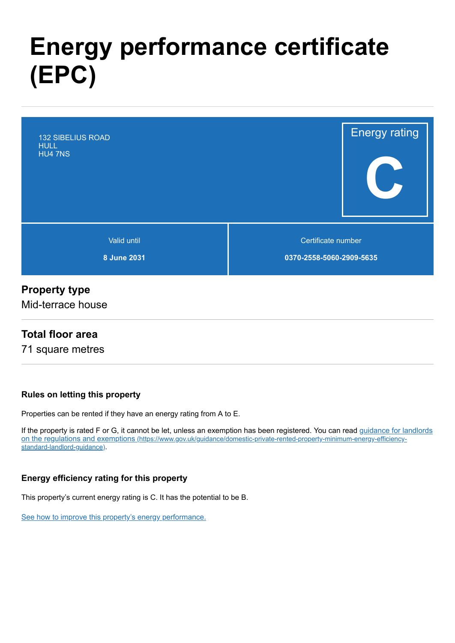# **Energy performance certificate (EPC)**



#### **Property type**

Mid-terrace house

#### **Total floor area**

71 square metres

#### **Rules on letting this property**

Properties can be rented if they have an energy rating from A to E.

[If the property is rated F or G, it cannot be let, unless an exemption has been registered. You can read guidance for landlords](https://www.gov.uk/guidance/domestic-private-rented-property-minimum-energy-efficiency-standard-landlord-guidance) on the regulations and exemptions (https://www.gov.uk/guidance/domestic-private-rented-property-minimum-energy-efficiencystandard-landlord-guidance).

#### **Energy efficiency rating for this property**

This property's current energy rating is C. It has the potential to be B.

[See how to improve this property's energy performance.](#page-3-0)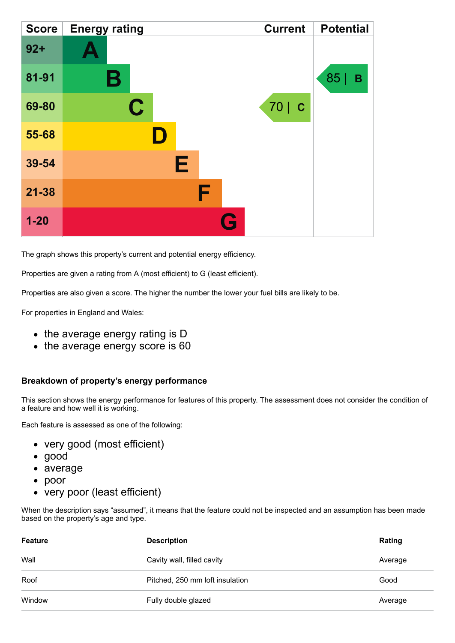| <b>Score</b> | <b>Energy rating</b> |   | <b>Current</b> | <b>Potential</b> |
|--------------|----------------------|---|----------------|------------------|
| $92 +$       |                      |   |                |                  |
| 81-91        | Β                    |   |                | 85<br>В          |
| 69-80        | $\mathbf C$          |   | 70   C         |                  |
| 55-68        |                      |   |                |                  |
| 39-54        | Е                    |   |                |                  |
| $21 - 38$    | F                    |   |                |                  |
| $1 - 20$     |                      | G |                |                  |

The graph shows this property's current and potential energy efficiency.

Properties are given a rating from A (most efficient) to G (least efficient).

Properties are also given a score. The higher the number the lower your fuel bills are likely to be.

For properties in England and Wales:

- the average energy rating is D
- the average energy score is 60

#### **Breakdown of property's energy performance**

This section shows the energy performance for features of this property. The assessment does not consider the condition of a feature and how well it is working.

Each feature is assessed as one of the following:

- very good (most efficient)
- good
- average
- poor
- very poor (least efficient)

When the description says "assumed", it means that the feature could not be inspected and an assumption has been made based on the property's age and type.

| Feature | <b>Description</b>              | Rating  |
|---------|---------------------------------|---------|
| Wall    | Cavity wall, filled cavity      | Average |
| Roof    | Pitched, 250 mm loft insulation | Good    |
| Window  | Fully double glazed             | Average |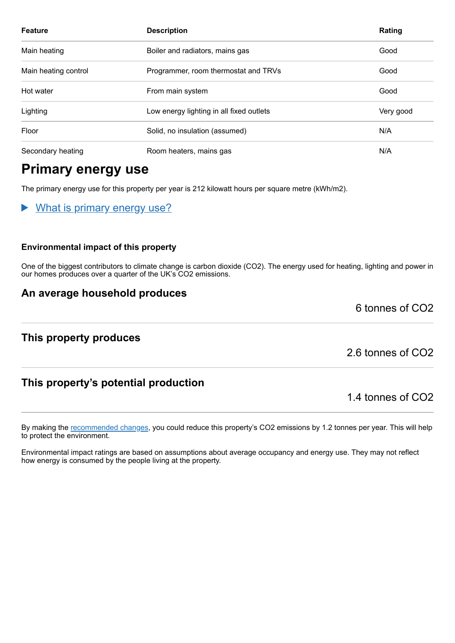| <b>Feature</b>                                               | <b>Description</b>                       | Rating |
|--------------------------------------------------------------|------------------------------------------|--------|
| Main heating<br>Boiler and radiators, mains gas              |                                          | Good   |
| Main heating control<br>Programmer, room thermostat and TRVs |                                          | Good   |
| Hot water                                                    | From main system                         | Good   |
| Lighting                                                     | Low energy lighting in all fixed outlets |        |
| Floor<br>Solid, no insulation (assumed)                      |                                          | N/A    |
| Secondary heating<br>Room heaters, mains gas                 |                                          | N/A    |

# **Primary energy use**

The primary energy use for this property per year is 212 kilowatt hours per square metre (kWh/m2).

What is primary energy use?

#### **Environmental impact of this property**

One of the biggest contributors to climate change is carbon dioxide (CO2). The energy used for heating, lighting and power in our homes produces over a quarter of the UK's CO2 emissions.

#### **An average household produces**

**This property produces**

2.6 tonnes of CO2

6 tonnes of CO2

#### **This property's potential production**

1.4 tonnes of CO2

By making the [recommended changes,](#page-3-0) you could reduce this property's CO2 emissions by 1.2 tonnes per year. This will help to protect the environment.

Environmental impact ratings are based on assumptions about average occupancy and energy use. They may not reflect how energy is consumed by the people living at the property.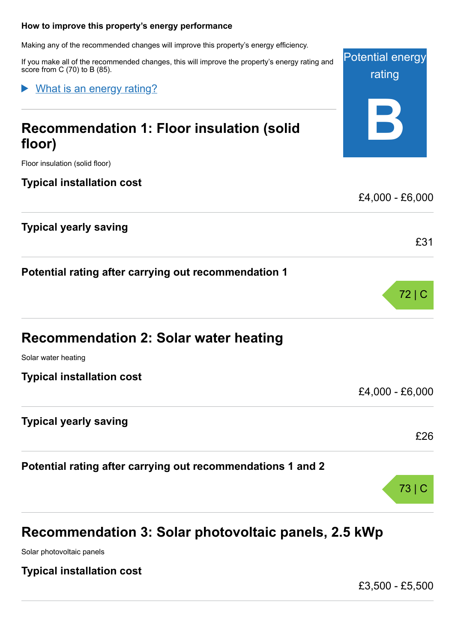#### <span id="page-3-0"></span>**How to improve this property's energy performance**

Making any of the recommended changes will improve this property's energy efficiency.

If you make all of the recommended changes, this will improve the property's energy rating and score from C (70) to B (85).

What is an energy rating?

# **Recommendation 1: Floor insulation (solid floor)**

Floor insulation (solid floor)

#### **Typical installation cost**

#### **Typical yearly saving**

**Potential rating after carrying out recommendation 1**

| <b>Recommendation 2: Solar water heating</b> |  |  |  |  |
|----------------------------------------------|--|--|--|--|
|----------------------------------------------|--|--|--|--|

Solar water heating

**Typical installation cost**

#### **Typical yearly saving**

**Potential rating after carrying out recommendations 1 and 2**

# **Recommendation 3: Solar photovoltaic panels, 2.5 kWp**

Solar photovoltaic panels

**Typical installation cost**

£3,500 - £5,500



Potential energy rating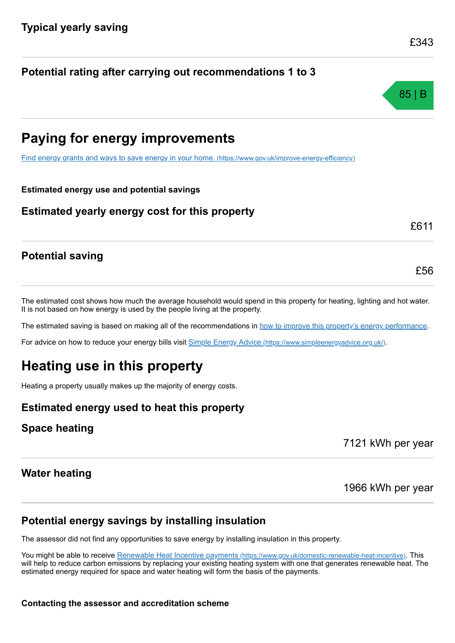#### **Potential rating after carrying out recommendations 1 to 3**

# **Paying for energy improvements**

[Find energy grants and ways to save energy in your home.](https://www.gov.uk/improve-energy-efficiency) (https://www.gov.uk/improve-energy-efficiency)

#### **Estimated energy use and potential savings**

#### **Estimated yearly energy cost for this property**

### **Potential saving**

The estimated cost shows how much the average household would spend in this property for heating, lighting and hot water. It is not based on how energy is used by the people living at the property.

The estimated saving is based on making all of the recommendations in [how to improve this property's energy performance.](#page-3-0)

For advice on how to reduce your energy bills visit Simple Energy Advice [\(https://www.simpleenergyadvice.org.uk/\)](https://www.simpleenergyadvice.org.uk/).

# **Heating use in this property**

Heating a property usually makes up the majority of energy costs.

#### **Estimated energy used to heat this property**

#### **Space heating**

7121 kWh per year

#### **Water heating**

1966 kWh per year

#### **Potential energy savings by installing insulation**

The assessor did not find any opportunities to save energy by installing insulation in this property.

You might be able to receive Renewable Heat Incentive payments [\(https://www.gov.uk/domestic-renewable-heat-incentive\)](https://www.gov.uk/domestic-renewable-heat-incentive). This will help to reduce carbon emissions by replacing your existing heating system with one that generates renewable heat. The estimated energy required for space and water heating will form the basis of the payments.

£343

£56

£611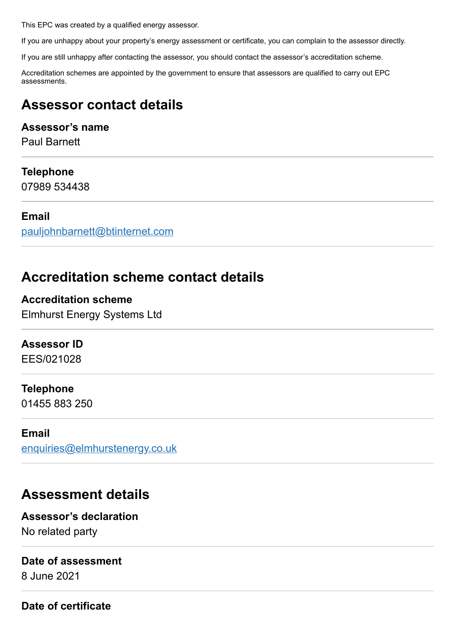This EPC was created by a qualified energy assessor.

If you are unhappy about your property's energy assessment or certificate, you can complain to the assessor directly.

If you are still unhappy after contacting the assessor, you should contact the assessor's accreditation scheme.

Accreditation schemes are appointed by the government to ensure that assessors are qualified to carry out EPC assessments.

# **Assessor contact details**

#### **Assessor's name**

Paul Barnett

#### **Telephone**

07989 534438

#### **Email**

[pauljohnbarnett@btinternet.com](mailto:pauljohnbarnett@btinternet.com)

# **Accreditation scheme contact details**

**Accreditation scheme** Elmhurst Energy Systems Ltd

#### **Assessor ID**

EES/021028

#### **Telephone**

01455 883 250

#### **Email**

[enquiries@elmhurstenergy.co.uk](mailto:enquiries@elmhurstenergy.co.uk)

# **Assessment details**

### **Assessor's declaration**

No related party

#### **Date of assessment**

8 June 2021

#### **Date of certificate**